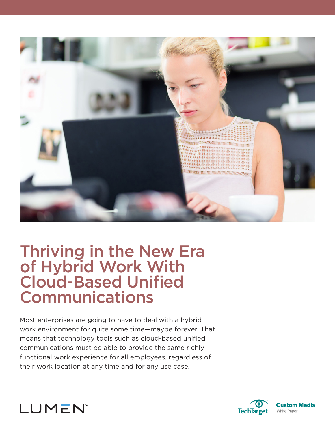

# Thriving in the New Era of Hybrid Work With Cloud-Based Unified Communications

Most enterprises are going to have to deal with a hybrid work environment for quite some time—maybe forever. That means that technology tools such as cloud-based unified communications must be able to provide the same richly functional work experience for all employees, regardless of their work location at any time and for any use case.



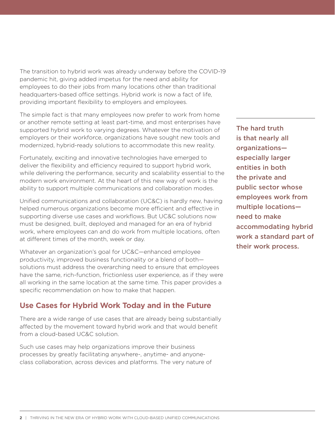The transition to hybrid work was already underway before the COVID-19 pandemic hit, giving added impetus for the need and ability for employees to do their jobs from many locations other than traditional headquarters-based office settings. Hybrid work is now a fact of life, providing important flexibility to employers and employees.

The simple fact is that many employees now prefer to work from home or another remote setting at least part-time, and most enterprises have supported hybrid work to varying degrees. Whatever the motivation of employers or their workforce, organizations have sought new tools and modernized, hybrid-ready solutions to accommodate this new reality.

Fortunately, exciting and innovative technologies have emerged to deliver the flexibility and efficiency required to support hybrid work, while delivering the performance, security and scalability essential to the modern work environment. At the heart of this new way of work is the ability to support multiple communications and collaboration modes.

Unified communications and collaboration (UC&C) is hardly new, having helped numerous organizations become more efficient and effective in supporting diverse use cases and workflows. But UC&C solutions now must be designed, built, deployed and managed for an era of hybrid work, where employees can and do work from multiple locations, often at different times of the month, week or day.

Whatever an organization's goal for UC&C—enhanced employee productivity, improved business functionality or a blend of both solutions must address the overarching need to ensure that employees have the same, rich-function, frictionless user experience, as if they were all working in the same location at the same time. This paper provides a specific recommendation on how to make that happen.

### **Use Cases for Hybrid Work Today and in the Future**

There are a wide range of use cases that are already being substantially affected by the movement toward hybrid work and that would benefit from a cloud-based UC&C solution.

Such use cases may help organizations improve their business processes by greatly facilitating anywhere-, anytime- and anyoneclass collaboration, across devices and platforms. The very nature of The hard truth is that nearly all organizations especially larger entities in both the private and public sector whose employees work from multiple locations need to make accommodating hybrid work a standard part of their work process.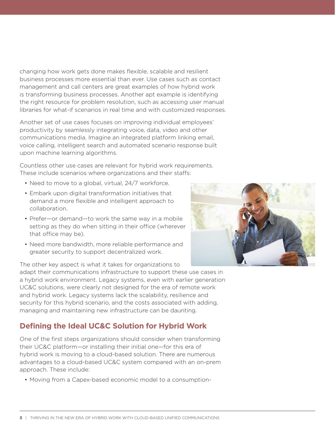changing how work gets done makes flexible, scalable and resilient business processes more essential than ever. Use cases such as contact management and call centers are great examples of how hybrid work is transforming business processes. Another apt example is identifying the right resource for problem resolution, such as accessing user manual libraries for what-if scenarios in real time and with customized responses.

Another set of use cases focuses on improving individual employees' productivity by seamlessly integrating voice, data, video and other communications media. Imagine an integrated platform linking email, voice calling, intelligent search and automated scenario response built upon machine learning algorithms.

Countless other use cases are relevant for hybrid work requirements. These include scenarios where organizations and their staffs:

- Need to move to a global, virtual, 24/7 workforce.
- Embark upon digital transformation initiatives that demand a more flexible and intelligent approach to collaboration.
- Prefer—or demand—to work the same way in a mobile setting as they do when sitting in their office (wherever that office may be).
- Need more bandwidth, more reliable performance and greater security to support decentralized work.

The other key aspect is what it takes for organizations to adapt their communications infrastructure to support these use cases in a hybrid work environment. Legacy systems, even with earlier generation UC&C solutions, were clearly not designed for the era of remote work and hybrid work. Legacy systems lack the scalability, resilience and security for this hybrid scenario, and the costs associated with adding, managing and maintaining new infrastructure can be daunting.

# **Defining the Ideal UC&C Solution for Hybrid Work**

One of the first steps organizations should consider when transforming their UC&C platform—or installing their initial one—for this era of hybrid work is moving to a cloud-based solution. There are numerous advantages to a cloud-based UC&C system compared with an on-prem approach. These include:

• Moving from a Capex-based economic model to a consumption-

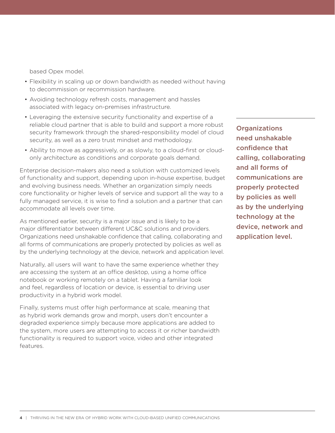based Opex model.

- Flexibility in scaling up or down bandwidth as needed without having to decommission or recommission hardware.
- Avoiding technology refresh costs, management and hassles associated with legacy on-premises infrastructure.
- Leveraging the extensive security functionality and expertise of a reliable cloud partner that is able to build and support a more robust security framework through the shared-responsibility model of cloud security, as well as a zero trust mindset and methodology.
- Ability to move as aggressively, or as slowly, to a cloud-first or cloudonly architecture as conditions and corporate goals demand.

Enterprise decision-makers also need a solution with customized levels of functionality and support, depending upon in-house expertise, budget and evolving business needs. Whether an organization simply needs core functionality or higher levels of service and support all the way to a fully managed service, it is wise to find a solution and a partner that can accommodate all levels over time.

As mentioned earlier, security is a major issue and is likely to be a major differentiator between different UC&C solutions and providers. Organizations need unshakable confidence that calling, collaborating and all forms of communications are properly protected by policies as well as by the underlying technology at the device, network and application level.

Naturally, all users will want to have the same experience whether they are accessing the system at an office desktop, using a home office notebook or working remotely on a tablet. Having a familiar look and feel, regardless of location or device, is essential to driving user productivity in a hybrid work model.

Finally, systems must offer high performance at scale, meaning that as hybrid work demands grow and morph, users don't encounter a degraded experience simply because more applications are added to the system, more users are attempting to access it or richer bandwidth functionality is required to support voice, video and other integrated features.

**Organizations** need unshakable confidence that calling, collaborating and all forms of communications are properly protected by policies as well as by the underlying technology at the device, network and application level.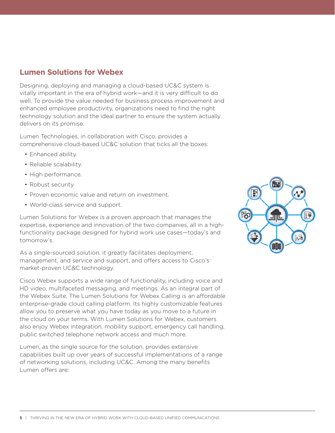## **Lumen Solutions for Webex**

Designing, deploying and managing a cloud-based UC&C system is vitally important in the era of hybrid work—and it is very difficult to do well. To provide the value needed for business process improvement and enhanced employee productivity, organizations need to find the right technology solution and the ideal partner to ensure the system actually delivers on its promise.

Lumen Technologies, in collaboration with Cisco, provides a comprehensive cloud-based UC&C solution that ticks all the boxes:

- Enhanced ability.
- Reliable scalability.
- High performance.
- Robust security.
- Proven economic value and return on investment.
- World-class service and support.

Lumen Solutions for Webex is a proven approach that manages the expertise, experience and innovation of the two companies, all in a highfunctionality package designed for hybrid work use cases—today's and tomorrow's.

As a single-sourced solution, it greatly facilitates deployment, management, and service and support, and offers access to Cisco's market-proven UC&C technology.

Cisco Webex supports a wide range of functionality, including voice and HD video, multifaceted messaging, and meetings. As an integral part of the Webex Suite, The Lumen Solutions for Webex Calling is an affordable enterprise-grade cloud calling platform. Its highly customizable features allow you to preserve what you have today as you move to a future in the cloud on your terms. With Lumen Solutions for Webex, customers also enjoy Webex integration, mobility support, emergency call handling, public switched telephone network access and much more.

Lumen, as the single source for the solution, provides extensive capabilities built up over years of successful implementations of a range of networking solutions, including UC&C. Among the many benefits Lumen offers are:

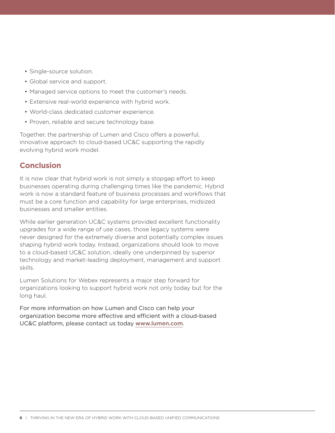- Single-source solution.
- Global service and support.
- Managed service options to meet the customer's needs.
- Extensive real-world experience with hybrid work.
- • World-class dedicated customer experience.
- Proven, reliable and secure technology base.

Together, the partnership of Lumen and Cisco offers a powerful, innovative approach to cloud-based UC&C supporting the rapidly evolving hybrid work model.

#### **Conclusion**

It is now clear that hybrid work is not simply a stopgap effort to keep businesses operating during challenging times like the pandemic. Hybrid work is now a standard feature of business processes and workflows that must be a core function and capability for large enterprises, midsized businesses and smaller entities.

While earlier generation UC&C systems provided excellent functionality upgrades for a wide range of use cases, those legacy systems were never designed for the extremely diverse and potentially complex issues shaping hybrid work today. Instead, organizations should look to move to a cloud-based UC&C solution, ideally one underpinned by superior technology and market-leading deployment, management and support skills.

Lumen Solutions for Webex represents a major step forward for organizations looking to support hybrid work not only today but for the long haul.

For more information on how Lumen and Cisco can help your organization become more effective and efficient with a cloud-based UC&C platform, please contact us today [www.lumen.com](https://www.lumen.com/en-us/communications/cisco-unified-communications-manager-cloud.html).